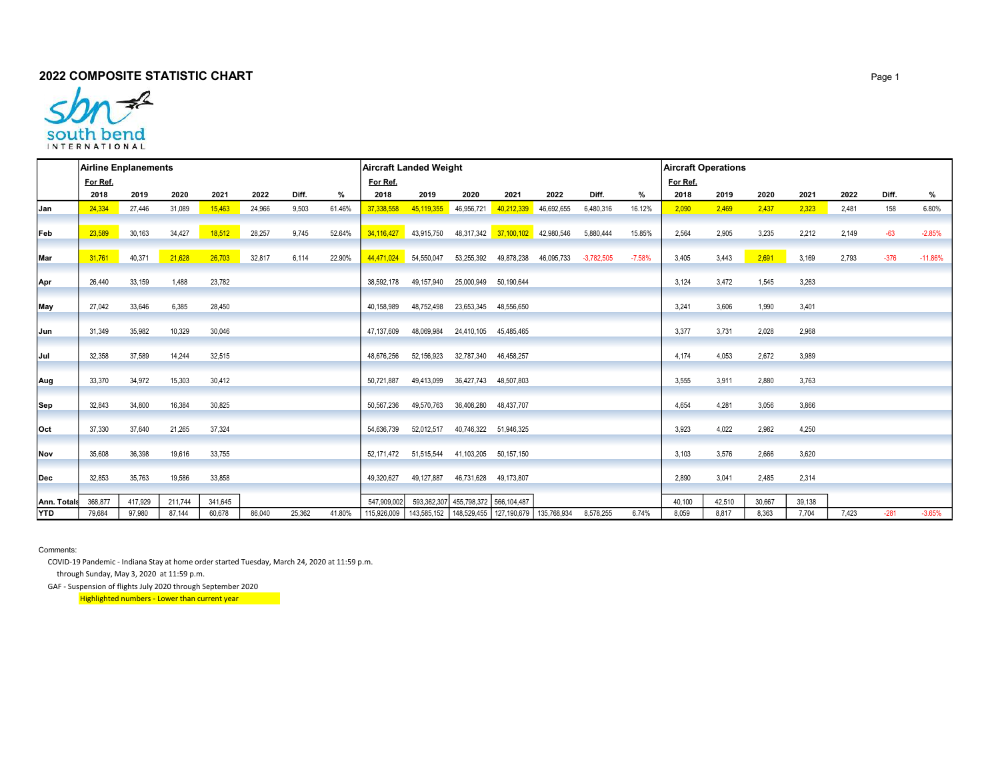

|             |          | <b>Airline Enplanements</b> |         |         |        |        |        |             | <b>Aircraft Landed Weight</b>                         |                                     |                                  |            |              | <b>Aircraft Operations</b> |          |        |        |        |       |        |           |
|-------------|----------|-----------------------------|---------|---------|--------|--------|--------|-------------|-------------------------------------------------------|-------------------------------------|----------------------------------|------------|--------------|----------------------------|----------|--------|--------|--------|-------|--------|-----------|
|             | For Ref. |                             |         |         |        |        |        | For Ref.    |                                                       |                                     |                                  |            |              |                            | For Ref. |        |        |        |       |        |           |
|             | 2018     | 2019                        | 2020    | 2021    | 2022   | Diff.  | %      | 2018        | 2019                                                  | 2020                                | 2021                             | 2022       | Diff.        | %                          | 2018     | 2019   | 2020   | 2021   | 2022  | Diff.  | %         |
| lJan        | 24,334   | 27,446                      | 31,089  | 15,463  | 24,966 | 9,503  | 61.46% | 37,338,558  | 45,119,355                                            | 46,956,721                          | 40,212,339                       | 46,692,655 | 6,480,316    | 16.12%                     | 2,090    | 2,469  | 2,437  | 2,323  | 2,481 | 158    | 6.80%     |
| Feb         | 23,589   | 30,163                      | 34,427  | 18,512  | 28,257 | 9,745  | 52.64% |             | 34,116,427 43,915,750                                 |                                     | 48,317,342 37,100,102 42,980,546 |            | 5,880,444    | 15.85%                     | 2,564    | 2,905  | 3,235  | 2,212  | 2,149 | $-63$  | $-2.85%$  |
| Mar         | 31,761   | 40,371                      | 21,628  | 26,703  | 32,817 | 6,114  | 22.90% |             | 44,471,024 54,550,047                                 |                                     | 53,255,392 49,878,238            | 46,095,733 | $-3,782,505$ | $-7.58%$                   | 3,405    | 3,443  | 2,691  | 3,169  | 2,793 | $-376$ | $-11.86%$ |
| Apr         | 26,440   | 33,159                      | 1,488   | 23,782  |        |        |        | 38.592.178  |                                                       | 49,157,940 25,000,949 50,190,644    |                                  |            |              |                            | 3.124    | 3,472  | 1,545  | 3,263  |       |        |           |
| May         | 27,042   | 33,646                      | 6,385   | 28,450  |        |        |        | 40.158.989  | 48,752,498                                            |                                     | 23,653,345 48,556,650            |            |              |                            | 3.241    | 3,606  | 1,990  | 3,401  |       |        |           |
| Jun         | 31,349   | 35,982                      | 10,329  | 30,046  |        |        |        | 47,137,609  | 48,069,984                                            | 24,410,105 45,485,465               |                                  |            |              |                            | 3,377    | 3,731  | 2,028  | 2,968  |       |        |           |
| Jul         | 32,358   | 37,589                      | 14,244  | 32,515  |        |        |        | 48,676,256  | 52,156,923                                            | 32,787,340 46,458,257               |                                  |            |              |                            | 4.174    | 4,053  | 2,672  | 3,989  |       |        |           |
| Aug         | 33,370   | 34,972                      | 15,303  | 30,412  |        |        |        | 50.721.887  | 49,413,099                                            | 36,427,743 48,507,803               |                                  |            |              |                            | 3,555    | 3,911  | 2,880  | 3,763  |       |        |           |
| Sep         | 32,843   | 34,800                      | 16,384  | 30,825  |        |        |        | 50,567,236  | 49,570,763                                            | 36,408,280 48,437,707               |                                  |            |              |                            | 4.654    | 4,281  | 3,056  | 3,866  |       |        |           |
| lOct        | 37,330   | 37,640                      | 21,265  | 37,324  |        |        |        | 54.636.739  | 52,012,517                                            | 40,746,322 51,946,325               |                                  |            |              |                            | 3.923    | 4,022  | 2,982  | 4,250  |       |        |           |
| <b>Nov</b>  | 35.608   | 36,398                      | 19,616  | 33,755  |        |        |        | 52.171.472  | 51,515,544                                            | 41,103,205 50,157,150               |                                  |            |              |                            | 3.103    | 3,576  | 2,666  | 3,620  |       |        |           |
| lDec        | 32,853   | 35,763                      | 19,586  | 33,858  |        |        |        | 49.320.627  | 49,127,887                                            | 46,731,628                          | 49,173,807                       |            |              |                            | 2.890    | 3,041  | 2,485  | 2,314  |       |        |           |
| Ann. Totals | 368,877  | 417,929                     | 211,744 | 341,645 |        |        |        | 547.909.002 |                                                       | 593,362,307 455,798,372 566,104,487 |                                  |            |              |                            | 40.100   | 42,510 | 30,667 | 39,138 |       |        |           |
| <b>YTD</b>  | 79,684   | 97,980                      | 87,144  | 60,678  | 86,040 | 25,362 | 41.80% | 115,926,009 | 143,585,152   148,529,455   127,190,679   135,768,934 |                                     |                                  |            | 8,578,255    | 6.74%                      | 8,059    | 8,817  | 8,363  | 7,704  | 7,423 | $-281$ | $-3.65%$  |

Comments:

COVID-19 Pandemic - Indiana Stay at home order started Tuesday, March 24, 2020 at 11:59 p.m.

through Sunday, May 3, 2020 at 11:59 p.m.

GAF - Suspension of flights July 2020 through September 2020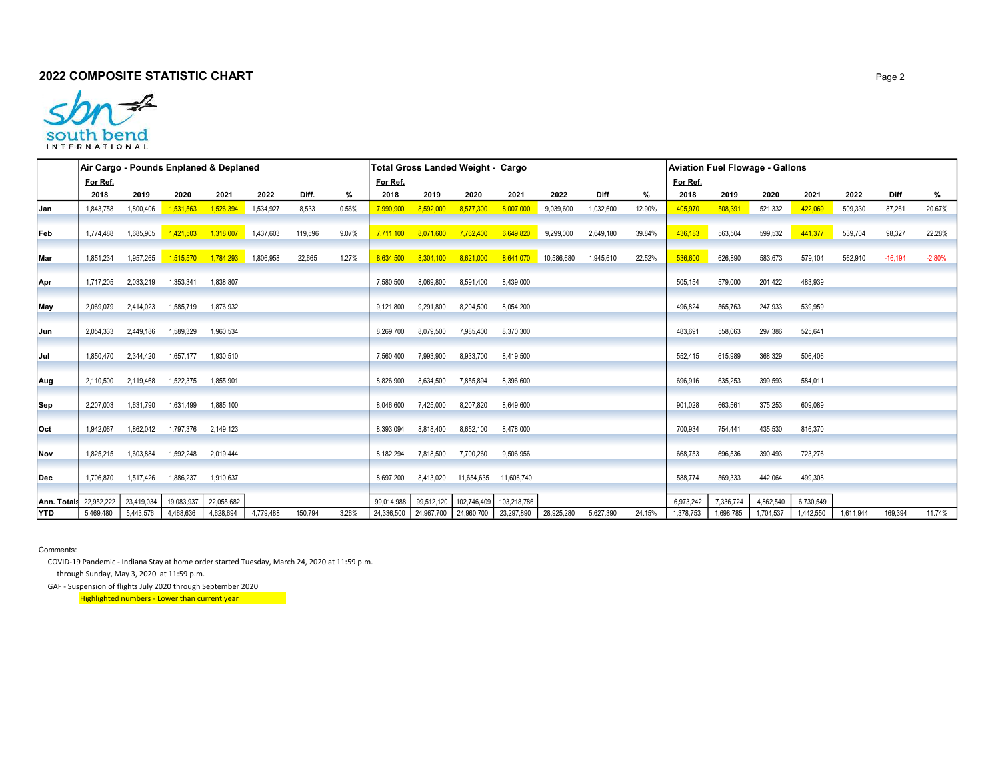## **2022 COMPOSITE STATISTIC CHART And A SET A CONFIDENT STATISTIC CHART**



|                               | Air Cargo - Pounds Enplaned & Deplaned |                     |            |                                     |           |         |       |            |                     | <b>Total Gross Landed Weight - Cargo</b> |                                                   |            |           | Aviation Fuel Flowage - Gallons |           |           |           |           |           |             |          |
|-------------------------------|----------------------------------------|---------------------|------------|-------------------------------------|-----------|---------|-------|------------|---------------------|------------------------------------------|---------------------------------------------------|------------|-----------|---------------------------------|-----------|-----------|-----------|-----------|-----------|-------------|----------|
|                               | For Ref.                               |                     |            |                                     |           |         |       | For Ref.   |                     |                                          |                                                   |            |           |                                 | For Ref.  |           |           |           |           |             |          |
|                               | 2018                                   | 2019                | 2020       | 2021                                | 2022      | Diff.   | %     | 2018       | 2019                | 2020                                     | 2021                                              | 2022       | Diff      | %                               | 2018      | 2019      | 2020      | 2021      | 2022      | <b>Diff</b> | %        |
| lJan                          | 1,843,758                              | 1,800,406           | 1,531,563  | 1,526,394                           | 1,534,927 | 8,533   | 0.56% | 7,990,900  | 8,592,000           | 8,577,300                                | 8,007,000                                         | 9,039,600  | 1,032,600 | 12.90%                          | 405,970   | 508,391   | 521,332   | 422,069   | 509,330   | 87,261      | 20.67%   |
| Feb                           | 1.774.488                              | 1,685,905           |            | $1,421,503$ $1,318,007$ $1,437,603$ |           | 119,596 | 9.07% |            |                     |                                          | 7,711,100 8,071,600 7,762,400 6,649,820 9,299,000 |            | 2,649,180 | 39.84%                          | 436,183   | 563,504   | 599,532   | 441,377   | 539,704   | 98,327      | 22.28%   |
| Mar                           | 1,851,234                              | 1,957,265           |            | 1,515,570  1,784,293  1,806,958     |           | 22,665  | 1.27% | 8.634.500  | 8,304,100 8,621,000 |                                          | 8,641,070 10,586,680                              |            | 1,945,610 | 22.52%                          | 536,600   | 626,890   | 583,673   | 579,104   | 562,910   | $-16,194$   | $-2.80%$ |
| Apr                           | 1,717,205                              | 2,033,219           | 1,353,341  | 1,838,807                           |           |         |       | 7,580,500  | 8,069,800           | 8,591,400                                | 8,439,000                                         |            |           |                                 | 505,154   | 579,000   | 201,422   | 483,939   |           |             |          |
| May                           | 2,069,079                              | 2,414,023           | 1,585,719  | 1,876,932                           |           |         |       | 9,121,800  | 9,291,800           | 8,204,500                                | 8,054,200                                         |            |           |                                 | 496,824   | 565,763   | 247,933   | 539,959   |           |             |          |
| Jun                           | 2,054,333                              | 2,449,186           | 1,589,329  | 1,960,534                           |           |         |       | 8,269,700  | 8,079,500           | 7,985,400                                | 8,370,300                                         |            |           |                                 | 483,691   | 558,063   | 297,386   | 525,641   |           |             |          |
| Jul                           |                                        | 1,850,470 2,344,420 | 1,657,177  | 1,930,510                           |           |         |       | 7,560,400  | 7,993,900           | 8,933,700                                | 8,419,500                                         |            |           |                                 | 552.415   | 615,989   | 368,329   | 506,406   |           |             |          |
| Aug                           | 2,110,500                              | 2,119,468           | 1,522,375  | 1,855,901                           |           |         |       | 8,826,900  | 8,634,500           | 7,855,894                                | 8,396,600                                         |            |           |                                 | 696,916   | 635,253   | 399,593   | 584,011   |           |             |          |
| Sep                           | 2,207,003                              | 1,631,790           | 1,631,499  | 1,885,100                           |           |         |       | 8,046,600  | 7,425,000           | 8,207,820                                | 8,649,600                                         |            |           |                                 | 901,028   | 663,561   | 375,253   | 609,089   |           |             |          |
| Oct                           | 1,942,067                              | 1,862,042           |            | 1,797,376 2,149,123                 |           |         |       | 8,393,094  | 8,818,400           | 8,652,100                                | 8,478,000                                         |            |           |                                 | 700,934   | 754,441   | 435,530   | 816,370   |           |             |          |
| Nov                           | 1,825,215                              | 1,603,884           | 1,592,248  | 2,019,444                           |           |         |       | 8,182,294  | 7,818,500           | 7,700,260                                | 9,506,956                                         |            |           |                                 | 668,753   | 696,536   | 390,493   | 723,276   |           |             |          |
| lDec                          | 1,706,870                              | 1,517,426           | 1,886,237  | 1,910,637                           |           |         |       | 8.697.200  | 8,413,020           | 11,654,635                               | 11,606,740                                        |            |           |                                 | 588.774   | 569,333   | 442,064   | 499,308   |           |             |          |
|                               |                                        |                     |            |                                     |           |         |       |            |                     |                                          |                                                   |            |           |                                 |           |           |           |           |           |             |          |
| <b>Ann. Totals</b> 22,952,222 |                                        | 23,419,034          | 19,083,937 | 22,055,682                          |           |         |       | 99.014.988 | 99.512.120          | 102,746,409                              | 103,218,786                                       |            |           |                                 | 6.973.242 | 7,336,724 | 4,862,540 | 6,730,549 |           |             | 11.74%   |
| <b>YTD</b>                    | 5,469,480                              | 5,443,576           | 4,468,636  | 4,628,694                           | 4,779,488 | 150,794 | 3.26% | 24,336,500 |                     | 24,967,700   24,960,700                  | 23,297,890                                        | 28,925,280 | 5,627,390 | 24.15%                          | 1,378,753 | 1,698,785 | 1,704,537 | 1,442,550 | 1,611,944 | 169,394     |          |

Comments:

 COVID-19 Pandemic - Indiana Stay at home order started Tuesday, March 24, 2020 at 11:59 p.m. through Sunday, May 3, 2020 at 11:59 p.m.

GAF - Suspension of flights July 2020 through September 2020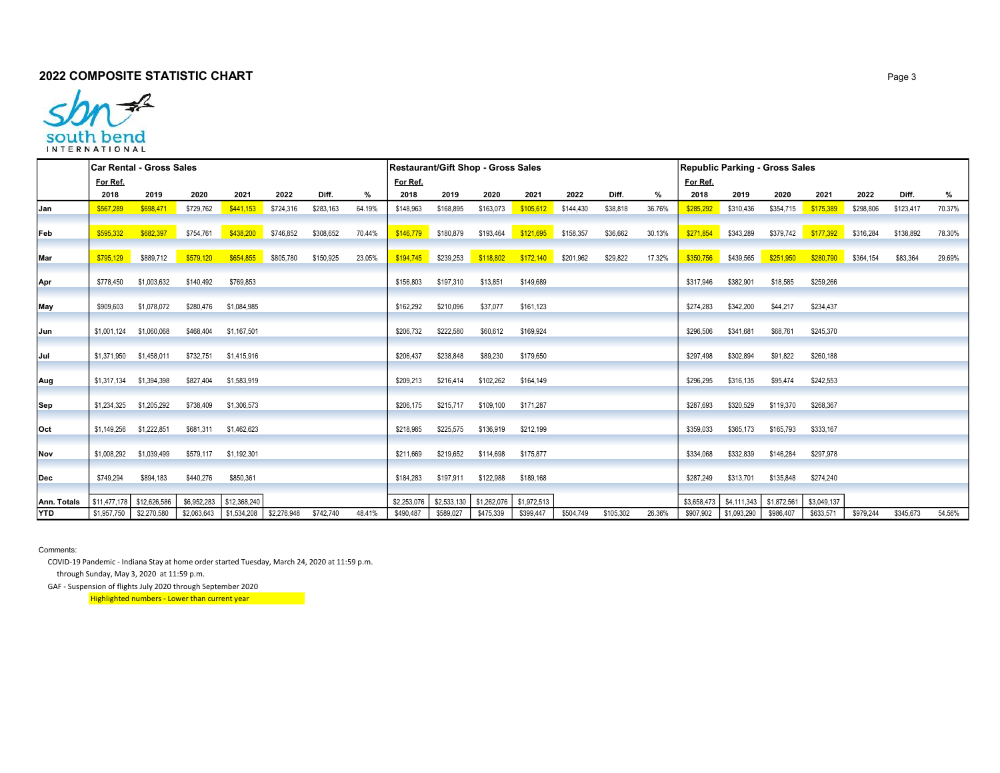## **2022 COMPOSITE STATISTIC CHART** Page 3



|             |                         | Car Rental - Gross Sales |           |                                          |           |           |        | <b>Restaurant/Gift Shop - Gross Sales</b> |                       |             |             |           |           | Republic Parking - Gross Sales |             |                       |             |                     |           |           |        |
|-------------|-------------------------|--------------------------|-----------|------------------------------------------|-----------|-----------|--------|-------------------------------------------|-----------------------|-------------|-------------|-----------|-----------|--------------------------------|-------------|-----------------------|-------------|---------------------|-----------|-----------|--------|
|             | For Ref.                |                          |           |                                          |           |           |        | For Ref.                                  |                       |             |             |           |           |                                | For Ref.    |                       |             |                     |           |           |        |
|             | 2018                    | 2019                     | 2020      | 2021                                     | 2022      | Diff.     | %      | 2018                                      | 2019                  | 2020        | 2021        | 2022      | Diff.     | %                              | 2018        | 2019                  | 2020        | 2021                | 2022      | Diff.     | %      |
| Jan         | \$567,289               | \$698,471                | \$729,762 | \$441,153                                | \$724,316 | \$283,163 | 64.19% | \$148,963                                 | \$168,895             | \$163,073   | \$105,612   | \$144,430 | \$38,818  | 36.76%                         | \$285,292   | \$310,436             | \$354,715   | \$175,389           | \$298,806 | \$123,417 | 70.37% |
|             |                         |                          |           |                                          |           |           |        |                                           |                       |             |             |           |           |                                |             |                       |             |                     |           |           |        |
| Feb         | \$595,332               | \$682,397                | \$754,761 | \$438,200 \$746,852                      |           | \$308,652 | 70.44% |                                           | \$146,779 \$180,879   | \$193,464   |             |           | \$36,662  | 30.13%                         |             | $$271,854$ $$343,289$ |             |                     |           | \$138,892 | 78.30% |
|             |                         |                          |           |                                          |           |           |        |                                           |                       |             |             |           |           |                                |             |                       |             |                     |           |           |        |
| Mar         | \$795,129               | \$889,712                | \$579,120 | \$654,855                                | \$805,780 | \$150,925 | 23.05% |                                           | $$194,745$ $$239,253$ | \$118,802   | \$172,140   | \$201,962 | \$29,822  | 17.32%                         |             | \$350,756 \$439,565   | \$251,950   | \$280,790 \$364,154 |           | \$83,364  | 29.69% |
| Apr         | \$778,450               | \$1,003,632              | \$140,492 | \$769,853                                |           |           |        | \$156,803                                 | \$197,310             | \$13,851    | \$149,689   |           |           |                                | \$317,946   | \$382,901             | \$18,585    | \$259,266           |           |           |        |
|             |                         |                          |           |                                          |           |           |        |                                           |                       |             |             |           |           |                                |             |                       |             |                     |           |           |        |
| May         | \$909,603               | \$1,078,072              | \$280,476 | \$1,084,985                              |           |           |        | \$162,292                                 | \$210,096             | \$37,077    | \$161,123   |           |           |                                | \$274,283   | \$342,200             | \$44,217    | \$234,437           |           |           |        |
|             |                         |                          |           |                                          |           |           |        |                                           |                       |             |             |           |           |                                |             |                       |             |                     |           |           |        |
| Jun         |                         | \$1,001,124 \$1,060,068  |           | \$468,404 \$1,167,501                    |           |           |        | \$206,732                                 | \$222,580             | \$60,612    | \$169,924   |           |           |                                | \$296,506   | \$341,681             | \$68,761    | \$245,370           |           |           |        |
|             |                         |                          |           |                                          |           |           |        |                                           |                       |             |             |           |           |                                |             |                       |             |                     |           |           |        |
| Jul         |                         | \$1,371,950 \$1,458,011  | \$732,751 | \$1,415,916                              |           |           |        | \$206,437                                 | \$238,848             | \$89,230    | \$179,650   |           |           |                                | \$297,498   | \$302,894             | \$91,822    | \$260,188           |           |           |        |
| Aug         |                         | \$1,317,134 \$1,394,398  | \$827,404 | \$1,583,919                              |           |           |        | \$209,213                                 | \$216,414             | \$102,262   | \$164,149   |           |           |                                | \$296,295   | \$316,135             | \$95,474    | \$242,553           |           |           |        |
|             |                         |                          |           |                                          |           |           |        |                                           |                       |             |             |           |           |                                |             |                       |             |                     |           |           |        |
| Sep         |                         | \$1,234,325 \$1,205,292  | \$738,409 | \$1,306,573                              |           |           |        | \$206,175                                 | \$215,717             | \$109,100   | \$171.287   |           |           |                                | \$287.693   | \$320,529             | \$119,370   | \$268.367           |           |           |        |
|             |                         |                          |           |                                          |           |           |        |                                           |                       |             |             |           |           |                                |             |                       |             |                     |           |           |        |
| Oct         | \$1,149,256 \$1,222,851 |                          |           | \$681,311 \$1,462,623                    |           |           |        | \$218,985                                 | \$225,575             | \$136,919   | \$212,199   |           |           |                                | \$359,033   | \$365,173             | \$165,793   | \$333,167           |           |           |        |
|             |                         |                          |           |                                          |           |           |        |                                           |                       |             |             |           |           |                                |             |                       |             |                     |           |           |        |
| Nov         |                         | \$1,008,292 \$1,039,499  |           | \$579,117 \$1,192,301                    |           |           |        | \$211,669                                 | \$219,652             | \$114,698   | \$175,877   |           |           |                                | \$334,068   | \$332,839             | \$146,284   | \$297,978           |           |           |        |
| Dec         | \$749,294               | \$894,183                | \$440,276 | \$850,361                                |           |           |        | \$184,283                                 | \$197,911             | \$122,988   | \$189,168   |           |           |                                | \$287.249   | \$313,701             | \$135,848   | \$274.240           |           |           |        |
|             |                         |                          |           |                                          |           |           |        |                                           |                       |             |             |           |           |                                |             |                       |             |                     |           |           |        |
| Ann. Totals | \$11,477,178            | \$12,626,586             |           | \$6,952,283   \$12,368,240               |           |           |        | \$2,253,076                               | \$2,533,130           | \$1,262,076 | \$1,972,513 |           |           |                                | \$3,658,473 | \$4,111,343           | \$1,872,561 | \$3,049,137         |           |           |        |
| <b>YTD</b>  | \$1,957,750             | \$2,270,580              |           | $$2,063,643$   \$1,534,208   \$2,276,948 |           | \$742,740 | 48.41% | \$490,487                                 | \$589,027             | \$475,339   | \$399,447   | \$504,749 | \$105,302 | 26.36%                         | \$907,902   | \$1,093,290           | \$986,407   | \$633,571           | \$979,244 | \$345,673 | 54.56% |

Comments:

COVID-19 Pandemic - Indiana Stay at home order started Tuesday, March 24, 2020 at 11:59 p.m.

through Sunday, May 3, 2020 at 11:59 p.m.

GAF - Suspension of flights July 2020 through September 2020